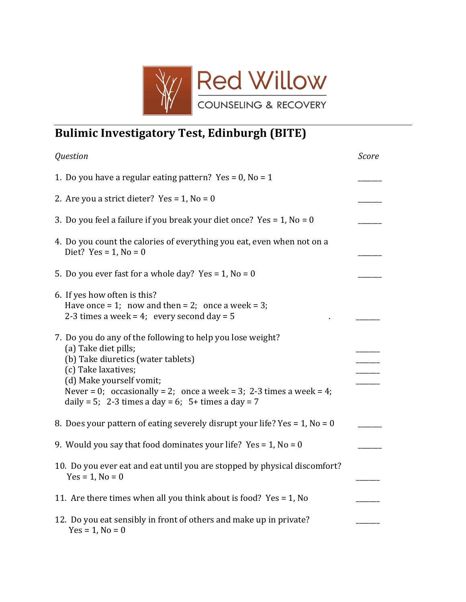

## Bulimic Investigatory Test, Edinburgh (BITE)

| Question                                                                                                                                                                                                                                                                                                 | Score |
|----------------------------------------------------------------------------------------------------------------------------------------------------------------------------------------------------------------------------------------------------------------------------------------------------------|-------|
| 1. Do you have a regular eating pattern? Yes = 0, No = 1                                                                                                                                                                                                                                                 |       |
| 2. Are you a strict dieter? Yes = $1$ , No = 0                                                                                                                                                                                                                                                           |       |
| 3. Do you feel a failure if you break your diet once? Yes = $1$ , No = 0                                                                                                                                                                                                                                 |       |
| 4. Do you count the calories of everything you eat, even when not on a<br>Diet? $Yes = 1$ , $No = 0$                                                                                                                                                                                                     |       |
| 5. Do you ever fast for a whole day? Yes = 1, No = 0                                                                                                                                                                                                                                                     |       |
| 6. If yes how often is this?<br>Have once = 1; now and then = 2; once a week = 3;<br>2-3 times a week = 4; every second day = $5$                                                                                                                                                                        |       |
| 7. Do you do any of the following to help you lose weight?<br>(a) Take diet pills;<br>(b) Take diuretics (water tablets)<br>(c) Take laxatives;<br>(d) Make yourself vomit;<br>Never = 0; occasionally = 2; once a week = 3; 2-3 times a week = 4;<br>daily = 5; 2-3 times a day = 6; 5+ times a day = 7 |       |
| 8. Does your pattern of eating severely disrupt your life? Yes = $1$ , No = 0                                                                                                                                                                                                                            |       |
| 9. Would you say that food dominates your life? Yes = 1, No = 0                                                                                                                                                                                                                                          |       |
| 10. Do you ever eat and eat until you are stopped by physical discomfort?<br>$Yes = 1, No = 0$                                                                                                                                                                                                           |       |
| 11. Are there times when all you think about is food? Yes = 1, No                                                                                                                                                                                                                                        |       |
| 12. Do you eat sensibly in front of others and make up in private?<br>$Yes = 1, No = 0$                                                                                                                                                                                                                  |       |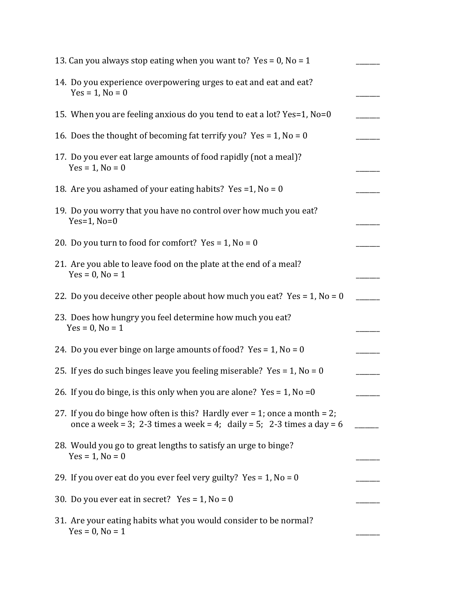| 13. Can you always stop eating when you want to? Yes = 0, No = 1                                                                                         |  |
|----------------------------------------------------------------------------------------------------------------------------------------------------------|--|
| 14. Do you experience overpowering urges to eat and eat and eat?<br>$Yes = 1, No = 0$                                                                    |  |
| 15. When you are feeling anxious do you tend to eat a lot? Yes=1, No=0                                                                                   |  |
| 16. Does the thought of becoming fat terrify you? Yes = 1, No = 0                                                                                        |  |
| 17. Do you ever eat large amounts of food rapidly (not a meal)?<br>$Yes = 1, No = 0$                                                                     |  |
| 18. Are you ashamed of your eating habits? Yes =1, No = 0                                                                                                |  |
| 19. Do you worry that you have no control over how much you eat?<br>Yes= $1$ , No= $0$                                                                   |  |
| 20. Do you turn to food for comfort? Yes = $1$ , No = 0                                                                                                  |  |
| 21. Are you able to leave food on the plate at the end of a meal?<br>$Yes = 0, No = 1$                                                                   |  |
| 22. Do you deceive other people about how much you eat? Yes = $1$ , No = 0                                                                               |  |
| 23. Does how hungry you feel determine how much you eat?<br>$Yes = 0, No = 1$                                                                            |  |
| 24. Do you ever binge on large amounts of food? Yes = $1$ , No = 0                                                                                       |  |
| 25. If yes do such binges leave you feeling miserable? Yes = $1$ , No = 0                                                                                |  |
| 26. If you do binge, is this only when you are alone? Yes = $1$ , No = 0                                                                                 |  |
| 27. If you do binge how often is this? Hardly ever $= 1$ ; once a month $= 2$ ;<br>once a week = 3; 2-3 times a week = 4; daily = 5; 2-3 times a day = 6 |  |
| 28. Would you go to great lengths to satisfy an urge to binge?<br>$Yes = 1, No = 0$                                                                      |  |
| 29. If you over eat do you ever feel very guilty? Yes = 1, No = 0                                                                                        |  |
| 30. Do you ever eat in secret? Yes = $1$ , No = 0                                                                                                        |  |
| 31. Are your eating habits what you would consider to be normal?<br>$Yes = 0, No = 1$                                                                    |  |